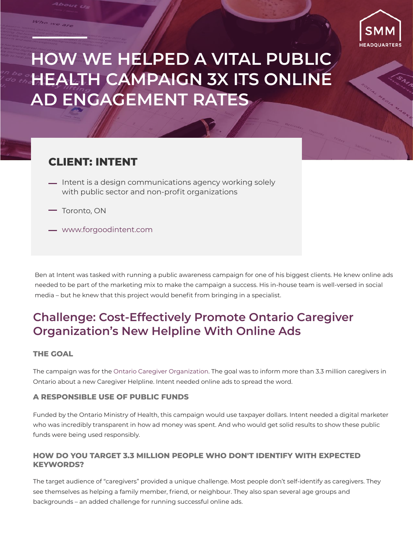

# **HOW WE HELPED A VITAL PUBLIC HEALTH CAMPAIGN 3X ITS ONLINE AD ENGAGEMENT RATES**

### **CLIENT: INTENT**

- <u>—</u> Intent is a design communications agency working solely with public sector and non-profit organizations
- Toronto, ON

who we are

www.forgoodintent.com

Ben at Intent was tasked with running a public awareness campaign for one of his biggest clients. He knew online ads needed to be part of the marketing mix to make the campaign a success. His in-house team is well-versed in social media – but he knew that this project would benefit from bringing in a specialist.

## **Challenge: Cost-Effectively Promote Ontario Caregiver Organization's New Helpline With Online Ads**

### **THE GOAL**

The campaign was for the Ontario Caregiver Organization. The goal was to inform more than 3.3 million caregivers in Ontario about a new Caregiver Helpline. Intent needed online ads to spread the word.

### **A RESPONSIBLE USE OF PUBLIC FUNDS**

Funded by the Ontario Ministry of Health, this campaign would use taxpayer dollars. Intent needed a digital marketer who was incredibly transparent in how ad money was spent. And who would get solid results to show these public funds were being used responsibly.

#### **HOW DO YOU TARGET 3.3 MILLION PEOPLE WHO DON'T IDENTIFY WITH EXPECTED KEYWORDS?**

The target audience of "caregivers" provided a unique challenge. Most people don't self-identify as caregivers. They see themselves as helping a family member, friend, or neighbour. They also span several age groups and backgrounds – an added challenge for running successful online ads.